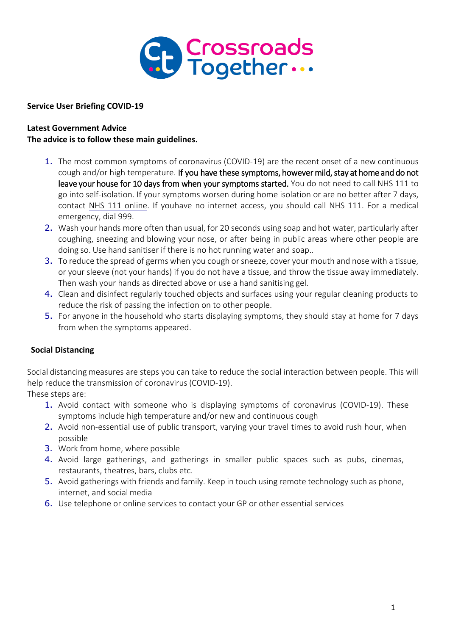

**Service User Briefing COVID-19**

## **Latest Government Advice The advice is to follow these main guidelines.**

- 1. The most common symptoms of coronavirus (COVID-19) are the recent onset of a new continuous cough and/or high temperature. If you have these symptoms, however mild, stay at home and do not leave your house for 10 days from when your symptoms started. You do not need to call NHS 111 to go into self-isolation. If your symptoms worsen during home isolation or are no better after 7 days, contact [NHS 111 online.](https://111.nhs.uk/) If youhave no internet access, you should call NHS 111. For a medical emergency, dial 999.
- 2. Wash your hands more often than usual, for 20 seconds using soap and hot water, particularly after coughing, sneezing and blowing your nose, or after being in public areas where other people are doing so. Use hand sanitiser if there is no hot running water and soap..
- 3. To reduce the spread of germs when you cough or sneeze, cover your mouth and nose with a tissue, or your sleeve (not your hands) if you do not have a tissue, and throw the tissue away immediately. Then wash your hands as directed above or use a hand sanitising gel.
- 4. Clean and disinfect regularly touched objects and surfaces using your regular cleaning products to reduce the risk of passing the infection on to other people.
- 5. For anyone in the household who starts displaying symptoms, they should stay at home for 7 days from when the symptoms appeared.

# **Social Distancing**

Social distancing measures are steps you can take to reduce the social interaction between people. This will help reduce the transmission of coronavirus (COVID-19).

These steps are:

- 1. Avoid contact with someone who is displaying symptoms of coronavirus (COVID-19). These symptoms include high temperature and/or new and continuous cough
- 2. Avoid non-essential use of public transport, varying your travel times to avoid rush hour, when possible
- 3. Work from home, where possible
- 4. Avoid large gatherings, and gatherings in smaller public spaces such as pubs, cinemas, restaurants, theatres, bars, clubs etc.
- 5. Avoid gatherings with friends and family. Keep in touch using remote technology such as phone, internet, and social media
- 6. Use telephone or online services to contact your GP or other essential services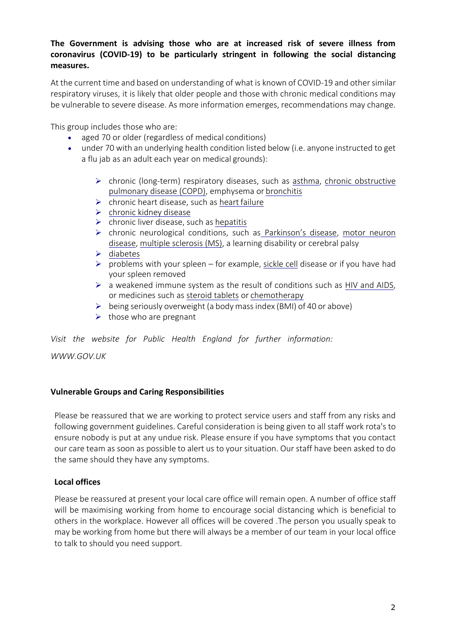# **The Government is advising those who are at increased risk of severe illness from coronavirus (COVID-19) to be particularly stringent in following the social distancing measures.**

At the current time and based on understanding of what is known of COVID-19 and other similar respiratory viruses, it is likely that older people and those with chronic medical conditions may be vulnerable to severe disease. As more information emerges, recommendations may change.

This group includes those who are:

- aged 70 or older (regardless of medical conditions)
- under 70 with an underlying health condition listed below (i.e. anyone instructed to get a flu jab as an adult each year on medical grounds):
	- $\triangleright$  chronic (long-term) respiratory diseases, such as [asthma,](https://www.nhs.uk/conditions/asthma/) [chronic](https://www.nhs.uk/conditions/chronic-obstructive-pulmonary-disease-copd/) obstructive [pulmonary disease \(COPD\),](https://www.nhs.uk/conditions/chronic-obstructive-pulmonary-disease-copd/) emphysema or [bronchitis](https://www.nhs.uk/conditions/bronchitis/)
	- $\triangleright$  chronic heart disease, such as heart [failure](https://www.nhs.uk/conditions/heart-failure/)
	- $\triangleright$  [chronic kidney](https://www.nhs.uk/conditions/kidney-disease/) disease
	- $\triangleright$  chronic liver disease, such as [hepatitis](https://www.nhs.uk/conditions/hepatitis/)
	- chronic neurological conditions, such as [Parkinson's disease](https://www.nhs.uk/conditions/parkinsons-disease/), [motor](https://www.nhs.uk/conditions/motor-neurone-disease/) [neuron](https://www.nhs.uk/conditions/motor-neurone-disease/) [disease,](https://www.nhs.uk/conditions/motor-neurone-disease/) [multiple sclerosis \(MS\),](https://www.nhs.uk/conditions/multiple-sclerosis/) a learning disability or cerebral palsy
	- $\blacktriangleright$  [diabetes](https://www.nhs.uk/conditions/diabetes/)
	- $\triangleright$  problems with your spleen for example, [sickle](https://www.nhs.uk/conditions/sickle-cell-disease/) cell disease or if you have had your spleen removed
	- $\triangleright$  a weakened immune system as the result of conditions such as [HIV](https://www.nhs.uk/conditions/hiv-and-aids/) [and AIDS,](https://www.nhs.uk/conditions/hiv-and-aids/) or medicines such as [steroid tablets](https://www.nhs.uk/conditions/steroids/) or [chemotherapy](https://www.nhs.uk/conditions/chemotherapy/)
	- $\triangleright$  being seriously overweight (a body mass index (BMI) of 40 or above)
	- $\triangleright$  those who are pregnant

*Visit the website for Public Health England for further information:* 

*[WWW.GOV.UK](http://www.gov.uk/)*

### **Vulnerable Groups and Caring Responsibilities**

Please be reassured that we are working to protect service users and staff from any risks and following government guidelines. Careful consideration is being given to all staff work rota's to ensure nobody is put at any undue risk. Please ensure if you have symptoms that you contact our care team as soon as possible to alert us to your situation. Our staff have been asked to do the same should they have any symptoms.

### **Local offices**

Please be reassured at present your local care office will remain open. A number of office staff will be maximising working from home to encourage social distancing which is beneficial to others in the workplace. However all offices will be covered .The person you usually speak to may be working from home but there will always be a member of our team in your local office to talk to should you need support.